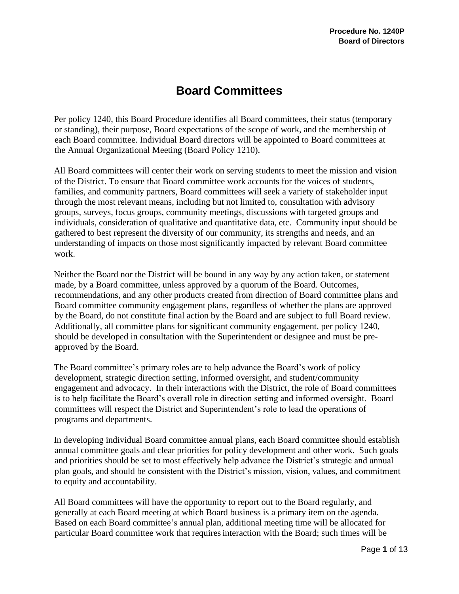# **Board Committees**

Per policy 1240, this Board Procedure identifies all Board committees, their status (temporary or standing), their purpose, Board expectations of the scope of work, and the membership of each Board committee. Individual Board directors will be appointed to Board committees at the Annual Organizational Meeting (Board Policy 1210).

All Board committees will center their work on serving students to meet the mission and vision of the District. To ensure that Board committee work accounts for the voices of students, families, and community partners, Board committees will seek a variety of stakeholder input through the most relevant means, including but not limited to, consultation with advisory groups, surveys, focus groups, community meetings, discussions with targeted groups and individuals, consideration of qualitative and quantitative data, etc. Community input should be gathered to best represent the diversity of our community, its strengths and needs, and an understanding of impacts on those most significantly impacted by relevant Board committee work.

Neither the Board nor the District will be bound in any way by any action taken, or statement made, by a Board committee, unless approved by a quorum of the Board. Outcomes, recommendations, and any other products created from direction of Board committee plans and Board committee community engagement plans, regardless of whether the plans are approved by the Board, do not constitute final action by the Board and are subject to full Board review. Additionally, all committee plans for significant community engagement, per policy 1240, should be developed in consultation with the Superintendent or designee and must be preapproved by the Board.

The Board committee's primary roles are to help advance the Board's work of policy development, strategic direction setting, informed oversight, and student/community engagement and advocacy. In their interactions with the District, the role of Board committees is to help facilitate the Board's overall role in direction setting and informed oversight. Board committees will respect the District and Superintendent's role to lead the operations of programs and departments.

In developing individual Board committee annual plans, each Board committee should establish annual committee goals and clear priorities for policy development and other work. Such goals and priorities should be set to most effectively help advance the District's strategic and annual plan goals, and should be consistent with the District's mission, vision, values, and commitment to equity and accountability.

All Board committees will have the opportunity to report out to the Board regularly, and generally at each Board meeting at which Board business is a primary item on the agenda. Based on each Board committee's annual plan, additional meeting time will be allocated for particular Board committee work that requiresinteraction with the Board; such times will be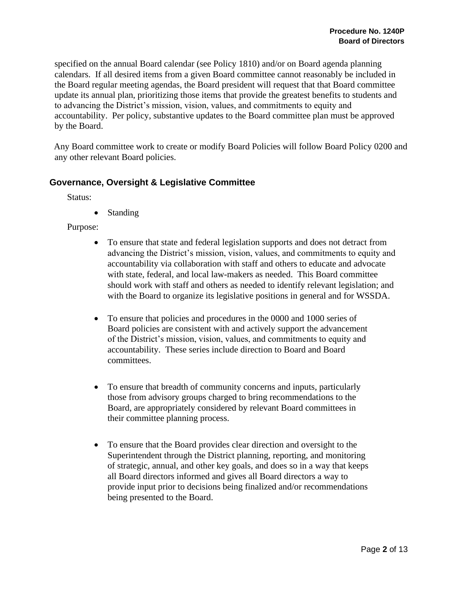specified on the annual Board calendar (see Policy 1810) and/or on Board agenda planning calendars. If all desired items from a given Board committee cannot reasonably be included in the Board regular meeting agendas, the Board president will request that that Board committee update its annual plan, prioritizing those items that provide the greatest benefits to students and to advancing the District's mission, vision, values, and commitments to equity and accountability. Per policy, substantive updates to the Board committee plan must be approved by the Board.

Any Board committee work to create or modify Board Policies will follow Board Policy 0200 and any other relevant Board policies.

## **Governance, Oversight & Legislative Committee**

Status:

• Standing

Purpose:

- To ensure that state and federal legislation supports and does not detract from advancing the District's mission, vision, values, and commitments to equity and accountability via collaboration with staff and others to educate and advocate with state, federal, and local law-makers as needed. This Board committee should work with staff and others as needed to identify relevant legislation; and with the Board to organize its legislative positions in general and for WSSDA.
- To ensure that policies and procedures in the 0000 and 1000 series of Board policies are consistent with and actively support the advancement of the District's mission, vision, values, and commitments to equity and accountability. These series include direction to Board and Board committees.
- To ensure that breadth of community concerns and inputs, particularly those from advisory groups charged to bring recommendations to the Board, are appropriately considered by relevant Board committees in their committee planning process.
- To ensure that the Board provides clear direction and oversight to the Superintendent through the District planning, reporting, and monitoring of strategic, annual, and other key goals, and does so in a way that keeps all Board directors informed and gives all Board directors a way to provide input prior to decisions being finalized and/or recommendations being presented to the Board.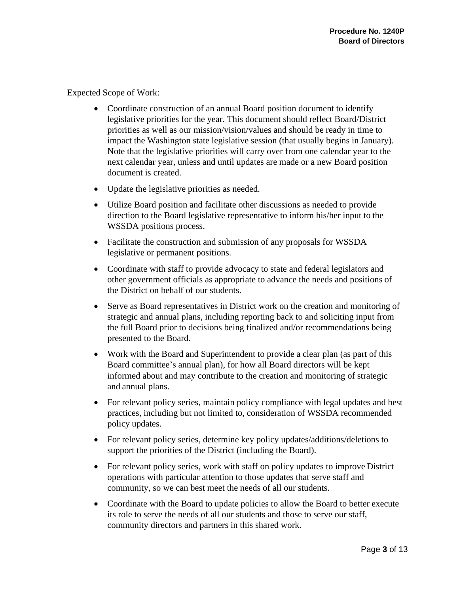Expected Scope of Work:

- Coordinate construction of an annual Board position document to identify legislative priorities for the year. This document should reflect Board/District priorities as well as our mission/vision/values and should be ready in time to impact the Washington state legislative session (that usually begins in January). Note that the legislative priorities will carry over from one calendar year to the next calendar year, unless and until updates are made or a new Board position document is created.
- Update the legislative priorities as needed.
- Utilize Board position and facilitate other discussions as needed to provide direction to the Board legislative representative to inform his/her input to the WSSDA positions process.
- Facilitate the construction and submission of any proposals for WSSDA legislative or permanent positions.
- Coordinate with staff to provide advocacy to state and federal legislators and other government officials as appropriate to advance the needs and positions of the District on behalf of our students.
- Serve as Board representatives in District work on the creation and monitoring of strategic and annual plans, including reporting back to and soliciting input from the full Board prior to decisions being finalized and/or recommendations being presented to the Board.
- Work with the Board and Superintendent to provide a clear plan (as part of this Board committee's annual plan), for how all Board directors will be kept informed about and may contribute to the creation and monitoring of strategic and annual plans.
- For relevant policy series, maintain policy compliance with legal updates and best practices, including but not limited to, consideration of WSSDA recommended policy updates.
- For relevant policy series, determine key policy updates/additions/deletions to support the priorities of the District (including the Board).
- For relevant policy series, work with staff on policy updates to improve District operations with particular attention to those updates that serve staff and community, so we can best meet the needs of all our students.
- Coordinate with the Board to update policies to allow the Board to better execute its role to serve the needs of all our students and those to serve our staff, community directors and partners in this shared work.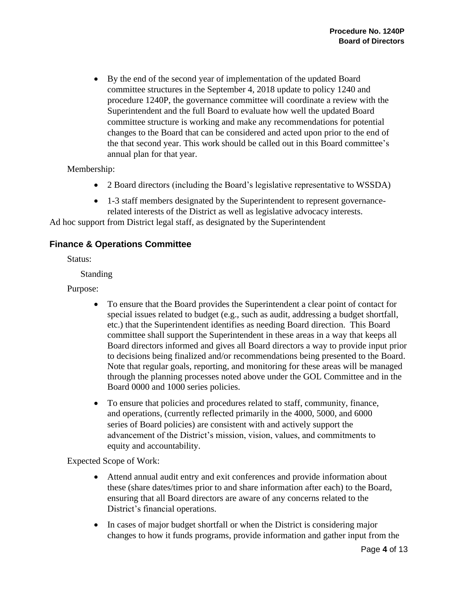• By the end of the second year of implementation of the updated Board committee structures in the September 4, 2018 update to policy 1240 and procedure 1240P, the governance committee will coordinate a review with the Superintendent and the full Board to evaluate how well the updated Board committee structure is working and make any recommendations for potential changes to the Board that can be considered and acted upon prior to the end of the that second year. This work should be called out in this Board committee's annual plan for that year.

Membership:

- 2 Board directors (including the Board's legislative representative to WSSDA)
- 1-3 staff members designated by the Superintendent to represent governancerelated interests of the District as well as legislative advocacy interests.

Ad hoc support from District legal staff, as designated by the Superintendent

# **Finance & Operations Committee**

Status:

Standing

Purpose:

- To ensure that the Board provides the Superintendent a clear point of contact for special issues related to budget (e.g., such as audit, addressing a budget shortfall, etc.) that the Superintendent identifies as needing Board direction. This Board committee shall support the Superintendent in these areas in a way that keeps all Board directors informed and gives all Board directors a way to provide input prior to decisions being finalized and/or recommendations being presented to the Board. Note that regular goals, reporting, and monitoring for these areas will be managed through the planning processes noted above under the GOL Committee and in the Board 0000 and 1000 series policies.
- To ensure that policies and procedures related to staff, community, finance, and operations, (currently reflected primarily in the 4000, 5000, and 6000 series of Board policies) are consistent with and actively support the advancement of the District's mission, vision, values, and commitments to equity and accountability.

Expected Scope of Work:

- Attend annual audit entry and exit conferences and provide information about these (share dates/times prior to and share information after each) to the Board, ensuring that all Board directors are aware of any concerns related to the District's financial operations.
- In cases of major budget shortfall or when the District is considering major changes to how it funds programs, provide information and gather input from the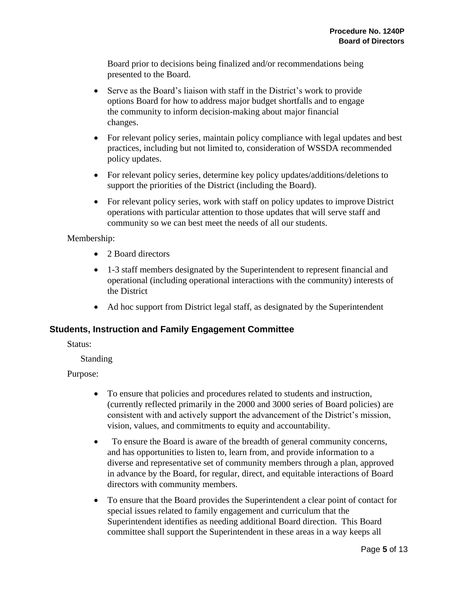Board prior to decisions being finalized and/or recommendations being presented to the Board.

- Serve as the Board's liaison with staff in the District's work to provide options Board for how to address major budget shortfalls and to engage the community to inform decision-making about major financial changes.
- For relevant policy series, maintain policy compliance with legal updates and best practices, including but not limited to, consideration of WSSDA recommended policy updates.
- For relevant policy series, determine key policy updates/additions/deletions to support the priorities of the District (including the Board).
- For relevant policy series, work with staff on policy updates to improve District operations with particular attention to those updates that will serve staff and community so we can best meet the needs of all our students.

## Membership:

- 2 Board directors
- 1-3 staff members designated by the Superintendent to represent financial and operational (including operational interactions with the community) interests of the District
- Ad hoc support from District legal staff, as designated by the Superintendent

# **Students, Instruction and Family Engagement Committee**

Status:

Standing

Purpose:

- To ensure that policies and procedures related to students and instruction, (currently reflected primarily in the 2000 and 3000 series of Board policies) are consistent with and actively support the advancement of the District's mission, vision, values, and commitments to equity and accountability.
- To ensure the Board is aware of the breadth of general community concerns, and has opportunities to listen to, learn from, and provide information to a diverse and representative set of community members through a plan, approved in advance by the Board, for regular, direct, and equitable interactions of Board directors with community members.
- To ensure that the Board provides the Superintendent a clear point of contact for special issues related to family engagement and curriculum that the Superintendent identifies as needing additional Board direction. This Board committee shall support the Superintendent in these areas in a way keeps all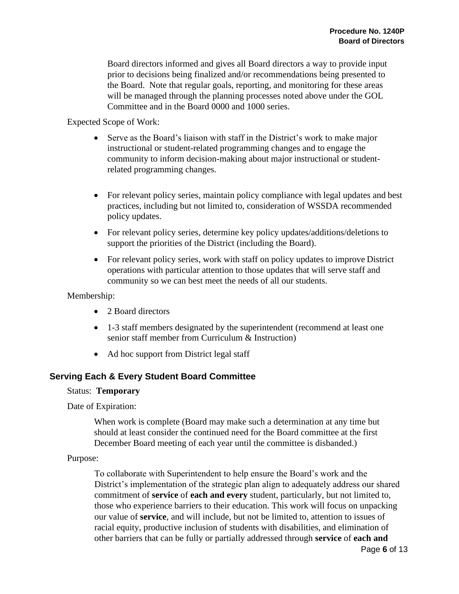Board directors informed and gives all Board directors a way to provide input prior to decisions being finalized and/or recommendations being presented to the Board. Note that regular goals, reporting, and monitoring for these areas will be managed through the planning processes noted above under the GOL Committee and in the Board 0000 and 1000 series.

Expected Scope of Work:

- Serve as the Board's liaison with staff in the District's work to make major instructional or student-related programming changes and to engage the community to inform decision-making about major instructional or studentrelated programming changes.
- For relevant policy series, maintain policy compliance with legal updates and best practices, including but not limited to, consideration of WSSDA recommended policy updates.
- For relevant policy series, determine key policy updates/additions/deletions to support the priorities of the District (including the Board).
- For relevant policy series, work with staff on policy updates to improve District operations with particular attention to those updates that will serve staff and community so we can best meet the needs of all our students.

Membership:

- 2 Board directors
- 1-3 staff members designated by the superintendent (recommend at least one senior staff member from Curriculum & Instruction)
- Ad hoc support from District legal staff

# **Serving Each & Every Student Board Committee**

#### Status: **Temporary**

Date of Expiration:

When work is complete (Board may make such a determination at any time but should at least consider the continued need for the Board committee at the first December Board meeting of each year until the committee is disbanded.)

#### Purpose:

To collaborate with Superintendent to help ensure the Board's work and the District's implementation of the strategic plan align to adequately address our shared commitment of **service** of **each and every** student, particularly, but not limited to, those who experience barriers to their education. This work will focus on unpacking our value of **service**, and will include, but not be limited to, attention to issues of racial equity, productive inclusion of students with disabilities, and elimination of other barriers that can be fully or partially addressed through **service** of **each and**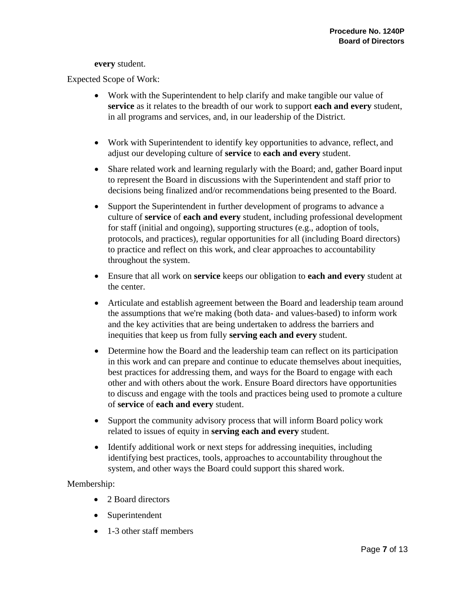#### **every** student.

Expected Scope of Work:

- Work with the Superintendent to help clarify and make tangible our value of **service** as it relates to the breadth of our work to support **each and every** student, in all programs and services, and, in our leadership of the District.
- Work with Superintendent to identify key opportunities to advance, reflect, and adjust our developing culture of **service** to **each and every** student.
- Share related work and learning regularly with the Board; and, gather Board input to represent the Board in discussions with the Superintendent and staff prior to decisions being finalized and/or recommendations being presented to the Board.
- Support the Superintendent in further development of programs to advance a culture of **service** of **each and every** student, including professional development for staff (initial and ongoing), supporting structures (e.g., adoption of tools, protocols, and practices), regular opportunities for all (including Board directors) to practice and reflect on this work, and clear approaches to accountability throughout the system.
- Ensure that all work on **service** keeps our obligation to **each and every** student at the center.
- Articulate and establish agreement between the Board and leadership team around the assumptions that we're making (both data- and values-based) to inform work and the key activities that are being undertaken to address the barriers and inequities that keep us from fully **serving each and every** student.
- Determine how the Board and the leadership team can reflect on its participation in this work and can prepare and continue to educate themselves about inequities, best practices for addressing them, and ways for the Board to engage with each other and with others about the work. Ensure Board directors have opportunities to discuss and engage with the tools and practices being used to promote a culture of **service** of **each and every** student.
- Support the community advisory process that will inform Board policy work related to issues of equity in **serving each and every** student.
- Identify additional work or next steps for addressing inequities, including identifying best practices, tools, approaches to accountability throughout the system, and other ways the Board could support this shared work.

#### Membership:

- 2 Board directors
- Superintendent
- 1-3 other staff members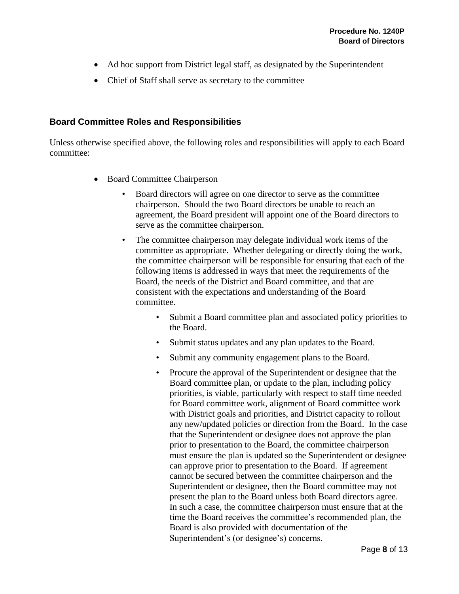- Ad hoc support from District legal staff, as designated by the Superintendent
- Chief of Staff shall serve as secretary to the committee

## **Board Committee Roles and Responsibilities**

Unless otherwise specified above, the following roles and responsibilities will apply to each Board committee:

- Board Committee Chairperson
	- Board directors will agree on one director to serve as the committee chairperson. Should the two Board directors be unable to reach an agreement, the Board president will appoint one of the Board directors to serve as the committee chairperson.
	- The committee chairperson may delegate individual work items of the committee as appropriate. Whether delegating or directly doing the work, the committee chairperson will be responsible for ensuring that each of the following items is addressed in ways that meet the requirements of the Board, the needs of the District and Board committee, and that are consistent with the expectations and understanding of the Board committee.
		- Submit a Board committee plan and associated policy priorities to the Board.
		- Submit status updates and any plan updates to the Board.
		- Submit any community engagement plans to the Board.
		- Procure the approval of the Superintendent or designee that the Board committee plan, or update to the plan, including policy priorities, is viable, particularly with respect to staff time needed for Board committee work, alignment of Board committee work with District goals and priorities, and District capacity to rollout any new/updated policies or direction from the Board. In the case that the Superintendent or designee does not approve the plan prior to presentation to the Board, the committee chairperson must ensure the plan is updated so the Superintendent or designee can approve prior to presentation to the Board. If agreement cannot be secured between the committee chairperson and the Superintendent or designee, then the Board committee may not present the plan to the Board unless both Board directors agree. In such a case, the committee chairperson must ensure that at the time the Board receives the committee's recommended plan, the Board is also provided with documentation of the Superintendent's (or designee's) concerns.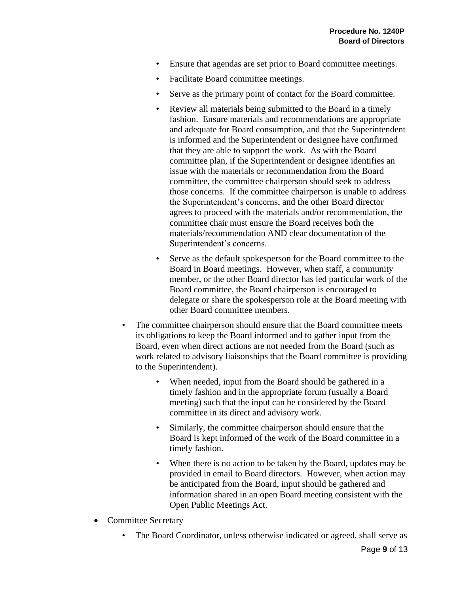- Ensure that agendas are set prior to Board committee meetings.
- Facilitate Board committee meetings.
- Serve as the primary point of contact for the Board committee.
- Review all materials being submitted to the Board in a timely fashion. Ensure materials and recommendations are appropriate and adequate for Board consumption, and that the Superintendent is informed and the Superintendent or designee have confirmed that they are able to support the work. As with the Board committee plan, if the Superintendent or designee identifies an issue with the materials or recommendation from the Board committee, the committee chairperson should seek to address those concerns. If the committee chairperson is unable to address the Superintendent's concerns, and the other Board director agrees to proceed with the materials and/or recommendation, the committee chair must ensure the Board receives both the materials/recommendation AND clear documentation of the Superintendent's concerns.
- Serve as the default spokesperson for the Board committee to the Board in Board meetings. However, when staff, a community member, or the other Board director has led particular work of the Board committee, the Board chairperson is encouraged to delegate or share the spokesperson role at the Board meeting with other Board committee members.
- The committee chairperson should ensure that the Board committee meets its obligations to keep the Board informed and to gather input from the Board, even when direct actions are not needed from the Board (such as work related to advisory liaisonships that the Board committee is providing to the Superintendent).
	- When needed, input from the Board should be gathered in a timely fashion and in the appropriate forum (usually a Board meeting) such that the input can be considered by the Board committee in its direct and advisory work.
	- Similarly, the committee chairperson should ensure that the Board is kept informed of the work of the Board committee in a timely fashion.
	- When there is no action to be taken by the Board, updates may be provided in email to Board directors. However, when action may be anticipated from the Board, input should be gathered and information shared in an open Board meeting consistent with the Open Public Meetings Act.
- Committee Secretary
	- The Board Coordinator, unless otherwise indicated or agreed, shall serve as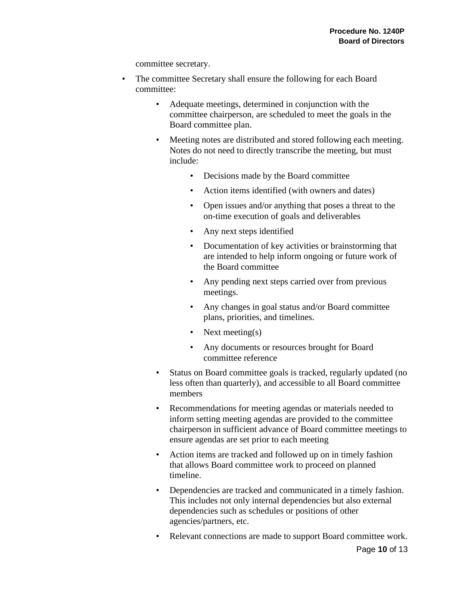committee secretary.

- The committee Secretary shall ensure the following for each Board committee:
	- Adequate meetings, determined in conjunction with the committee chairperson, are scheduled to meet the goals in the Board committee plan.
	- Meeting notes are distributed and stored following each meeting. Notes do not need to directly transcribe the meeting, but must include:
		- Decisions made by the Board committee
		- Action items identified (with owners and dates)
		- Open issues and/or anything that poses a threat to the on-time execution of goals and deliverables
		- Any next steps identified
		- Documentation of key activities or brainstorming that are intended to help inform ongoing or future work of the Board committee
		- Any pending next steps carried over from previous meetings.
		- Any changes in goal status and/or Board committee plans, priorities, and timelines.
		- Next meeting(s)
		- Any documents or resources brought for Board committee reference
	- Status on Board committee goals is tracked, regularly updated (no less often than quarterly), and accessible to all Board committee members
	- Recommendations for meeting agendas or materials needed to inform setting meeting agendas are provided to the committee chairperson in sufficient advance of Board committee meetings to ensure agendas are set prior to each meeting
	- Action items are tracked and followed up on in timely fashion that allows Board committee work to proceed on planned timeline.
	- Dependencies are tracked and communicated in a timely fashion. This includes not only internal dependencies but also external dependencies such as schedules or positions of other agencies/partners, etc.
	- Relevant connections are made to support Board committee work.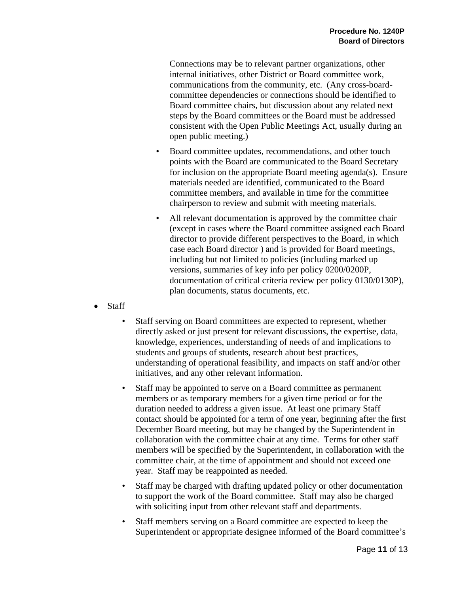Connections may be to relevant partner organizations, other internal initiatives, other District or Board committee work, communications from the community, etc. (Any cross-boardcommittee dependencies or connections should be identified to Board committee chairs, but discussion about any related next steps by the Board committees or the Board must be addressed consistent with the Open Public Meetings Act, usually during an open public meeting.)

- Board committee updates, recommendations, and other touch points with the Board are communicated to the Board Secretary for inclusion on the appropriate Board meeting agenda(s). Ensure materials needed are identified, communicated to the Board committee members, and available in time for the committee chairperson to review and submit with meeting materials.
- All relevant documentation is approved by the committee chair (except in cases where the Board committee assigned each Board director to provide different perspectives to the Board, in which case each Board director ) and is provided for Board meetings, including but not limited to policies (including marked up versions, summaries of key info per policy 0200/0200P, documentation of critical criteria review per policy 0130/0130P), plan documents, status documents, etc.
- Staff
	- Staff serving on Board committees are expected to represent, whether directly asked or just present for relevant discussions, the expertise, data, knowledge, experiences, understanding of needs of and implications to students and groups of students, research about best practices, understanding of operational feasibility, and impacts on staff and/or other initiatives, and any other relevant information.
	- Staff may be appointed to serve on a Board committee as permanent members or as temporary members for a given time period or for the duration needed to address a given issue. At least one primary Staff contact should be appointed for a term of one year, beginning after the first December Board meeting, but may be changed by the Superintendent in collaboration with the committee chair at any time. Terms for other staff members will be specified by the Superintendent, in collaboration with the committee chair, at the time of appointment and should not exceed one year. Staff may be reappointed as needed.
	- Staff may be charged with drafting updated policy or other documentation to support the work of the Board committee. Staff may also be charged with soliciting input from other relevant staff and departments.
	- Staff members serving on a Board committee are expected to keep the Superintendent or appropriate designee informed of the Board committee's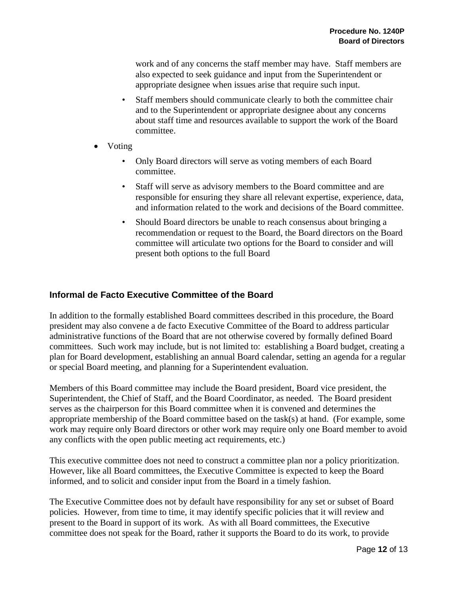work and of any concerns the staff member may have. Staff members are also expected to seek guidance and input from the Superintendent or appropriate designee when issues arise that require such input.

- Staff members should communicate clearly to both the committee chair and to the Superintendent or appropriate designee about any concerns about staff time and resources available to support the work of the Board committee.
- Voting
	- Only Board directors will serve as voting members of each Board committee.
	- Staff will serve as advisory members to the Board committee and are responsible for ensuring they share all relevant expertise, experience, data, and information related to the work and decisions of the Board committee.
	- Should Board directors be unable to reach consensus about bringing a recommendation or request to the Board, the Board directors on the Board committee will articulate two options for the Board to consider and will present both options to the full Board

## **Informal de Facto Executive Committee of the Board**

In addition to the formally established Board committees described in this procedure, the Board president may also convene a de facto Executive Committee of the Board to address particular administrative functions of the Board that are not otherwise covered by formally defined Board committees. Such work may include, but is not limited to: establishing a Board budget, creating a plan for Board development, establishing an annual Board calendar, setting an agenda for a regular or special Board meeting, and planning for a Superintendent evaluation.

Members of this Board committee may include the Board president, Board vice president, the Superintendent, the Chief of Staff, and the Board Coordinator, as needed. The Board president serves as the chairperson for this Board committee when it is convened and determines the appropriate membership of the Board committee based on the task(s) at hand. (For example, some work may require only Board directors or other work may require only one Board member to avoid any conflicts with the open public meeting act requirements, etc.)

This executive committee does not need to construct a committee plan nor a policy prioritization. However, like all Board committees, the Executive Committee is expected to keep the Board informed, and to solicit and consider input from the Board in a timely fashion.

The Executive Committee does not by default have responsibility for any set or subset of Board policies. However, from time to time, it may identify specific policies that it will review and present to the Board in support of its work. As with all Board committees, the Executive committee does not speak for the Board, rather it supports the Board to do its work, to provide